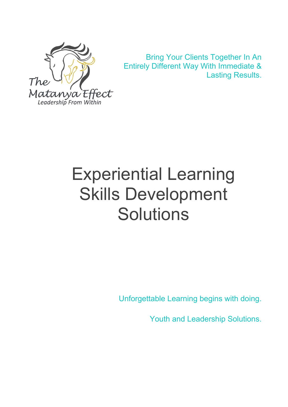

 Bring Your Clients Together In An Entirely Different Way With Immediate & Lasting Results.

# Experiential Learning Skills Development **Solutions**

Unforgettable Learning begins with doing.

Youth and Leadership Solutions.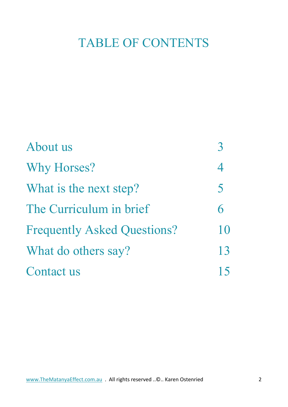# TABLE OF CONTENTS

| About us                           | R                       |
|------------------------------------|-------------------------|
| Why Horses?                        | 4                       |
| What is the next step?             | $\overline{\mathsf{S}}$ |
| The Curriculum in brief            | 6                       |
| <b>Frequently Asked Questions?</b> | 10                      |
| What do others say?                | 13                      |
| Contact us                         |                         |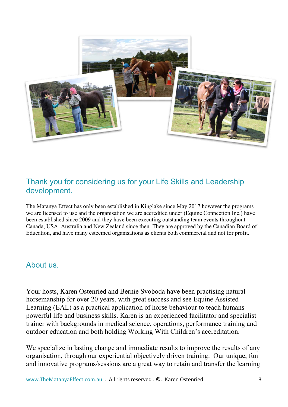

#### Thank you for considering us for your Life Skills and Leadership development.

The Matanya Effect has only been established in Kinglake since May 2017 however the programs we are licensed to use and the organisation we are accredited under (Equine Connection Inc.) have been established since 2009 and they have been executing outstanding team events throughout Canada, USA, Australia and New Zealand since then. They are approved by the Canadian Board of Education, and have many esteemed organisations as clients both commercial and not for profit.

#### About us.

Your hosts, Karen Ostenried and Bernie Svoboda have been practising natural horsemanship for over 20 years, with great success and see Equine Assisted Learning (EAL) as a practical application of horse behaviour to teach humans powerful life and business skills. Karen is an experienced facilitator and specialist trainer with backgrounds in medical science, operations, performance training and outdoor education and both holding Working With Children's accreditation.

We specialize in lasting change and immediate results to improve the results of any organisation, through our experiential objectively driven training. Our unique, fun and innovative programs/sessions are a great way to retain and transfer the learning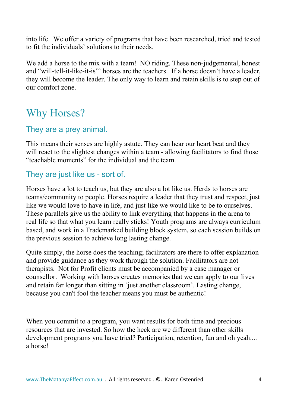into life. We offer a variety of programs that have been researched, tried and tested to fit the individuals' solutions to their needs.

We add a horse to the mix with a team! NO riding. These non-judgemental, honest and "will-tell-it-like-it-is"' horses are the teachers. If a horse doesn't have a leader, they will become the leader. The only way to learn and retain skills is to step out of our comfort zone.

# Why Horses?

#### They are a prey animal.

This means their senses are highly astute. They can hear our heart beat and they will react to the slightest changes within a team - allowing facilitators to find those "teachable moments" for the individual and the team.

#### They are just like us - sort of.

Horses have a lot to teach us, but they are also a lot like us. Herds to horses are teams/community to people. Horses require a leader that they trust and respect, just like we would love to have in life, and just like we would like to be to ourselves. These parallels give us the ability to link everything that happens in the arena to real life so that what you learn really sticks! Youth programs are always curriculum based, and work in a Trademarked building block system, so each session builds on the previous session to achieve long lasting change.

Quite simply, the horse does the teaching; facilitators are there to offer explanation and provide guidance as they work through the solution. Facilitators are not therapists. Not for Profit clients must be accompanied by a case manager or counsellor. Working with horses creates memories that we can apply to our lives and retain far longer than sitting in 'just another classroom'. Lasting change, because you can't fool the teacher means you must be authentic!

When you commit to a program, you want results for both time and precious resources that are invested. So how the heck are we different than other skills development programs you have tried? Participation, retention, fun and oh yeah.... a horse!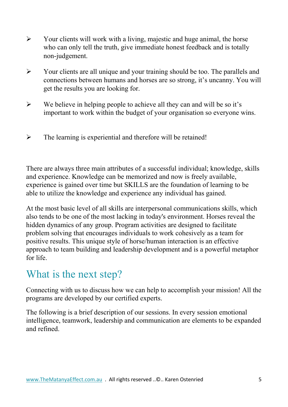- $\triangleright$  Your clients will work with a living, majestic and huge animal, the horse who can only tell the truth, give immediate honest feedback and is totally non-judgement.
- Your clients are all unique and your training should be too. The parallels and connections between humans and horses are so strong, it's uncanny. You will get the results you are looking for.
- $\triangleright$  We believe in helping people to achieve all they can and will be so it's important to work within the budget of your organisation so everyone wins.
- $\triangleright$  The learning is experiential and therefore will be retained!

There are always three main attributes of a successful individual; knowledge, skills and experience. Knowledge can be memorized and now is freely available, experience is gained over time but SKILLS are the foundation of learning to be able to utilize the knowledge and experience any individual has gained.

At the most basic level of all skills are interpersonal communications skills, which also tends to be one of the most lacking in today's environment. Horses reveal the hidden dynamics of any group. Program activities are designed to facilitate problem solving that encourages individuals to work cohesively as a team for positive results. This unique style of horse/human interaction is an effective approach to team building and leadership development and is a powerful metaphor for life.

# What is the next step?

Connecting with us to discuss how we can help to accomplish your mission! All the programs are developed by our certified experts.

The following is a brief description of our sessions. In every session emotional intelligence, teamwork, leadership and communication are elements to be expanded and refined.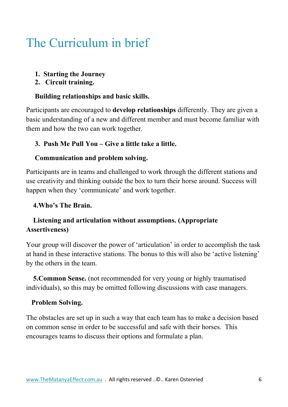# The Curriculum in brief

- **1. Starting the Journey**
- **2. Circuit training.**

#### **Building relationships and basic skills.**

Participants are encouraged to **develop relationships** differently. They are given a basic understanding of a new and different member and must become familiar with them and how the two can work together.

#### **3. Push Me Pull You – Give a little take a little.**

#### **Communication and problem solving.**

Participants are in teams and challenged to work through the different stations and use creativity and thinking outside the box to turn their horse around. Success will happen when they 'communicate' and work together.

#### **4.Who's The Brain.**

#### **Listening and articulation without assumptions. (Appropriate Assertiveness)**

Your group will discover the power of 'articulation' in order to accomplish the task at hand in these interactive stations. The bonus to this will also be 'active listening' by the others in the team.

**5. Common Sense.** (not recommended for very young or highly traumatised individuals), so this may be omitted following discussions with case managers.

#### **Problem Solving.**

The obstacles are set up in such a way that each team has to make a decision based on common sense in order to be successful and safe with their horses. This encourages teams to discuss their options and formulate a plan.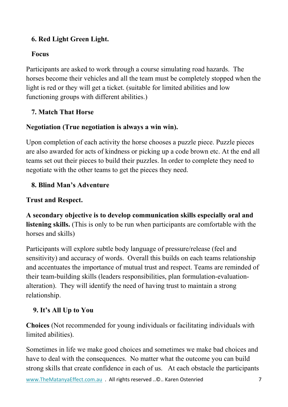#### **6. Red Light Green Light.**

#### **Focus**

Participants are asked to work through a course simulating road hazards. The horses become their vehicles and all the team must be completely stopped when the light is red or they will get a ticket. (suitable for limited abilities and low functioning groups with different abilities.)

#### **7. Match That Horse**

#### **Negotiation (True negotiation is always a win win).**

Upon completion of each activity the horse chooses a puzzle piece. Puzzle pieces are also awarded for acts of kindness or picking up a code brown etc. At the end all teams set out their pieces to build their puzzles. In order to complete they need to negotiate with the other teams to get the pieces they need.

#### **8. Blind Man's Adventure**

#### **Trust and Respect.**

**A secondary objective is to develop communication skills especially oral and listening skills.** (This is only to be run when participants are comfortable with the horses and skills)

Participants will explore subtle body language of pressure/release (feel and sensitivity) and accuracy of words. Overall this builds on each teams relationship and accentuates the importance of mutual trust and respect. Teams are reminded of their team-building skills (leaders responsibilities, plan formulation-evaluationalteration). They will identify the need of having trust to maintain a strong relationship.

#### **9. It's All Up to You**

**Choices** (Not recommended for young individuals or facilitating individuals with limited abilities).

Sometimes in life we make good choices and sometimes we make bad choices and have to deal with the consequences. No matter what the outcome you can build strong skills that create confidence in each of us. At each obstacle the participants

www.TheMatanyaEffect.com.au . All rights reserved .. ©.. Karen Ostenried 7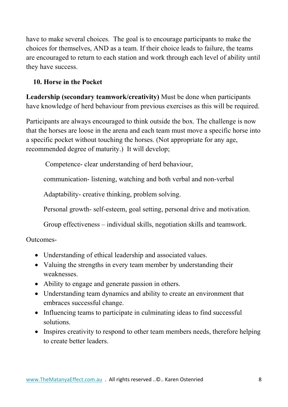have to make several choices. The goal is to encourage participants to make the choices for themselves, AND as a team. If their choice leads to failure, the teams are encouraged to return to each station and work through each level of ability until they have success.

#### **10. Horse in the Pocket**

**Leadership (secondary teamwork/creativity)** Must be done when participants have knowledge of herd behaviour from previous exercises as this will be required.

Participants are always encouraged to think outside the box. The challenge is now that the horses are loose in the arena and each team must move a specific horse into a specific pocket without touching the horses. (Not appropriate for any age, recommended degree of maturity.) It will develop;

Competence- clear understanding of herd behaviour,

communication- listening, watching and both verbal and non-verbal

Adaptability- creative thinking, problem solving.

Personal growth- self-esteem, goal setting, personal drive and motivation.

Group effectiveness – individual skills, negotiation skills and teamwork.

Outcomes-

- Understanding of ethical leadership and associated values.
- Valuing the strengths in every team member by understanding their weaknesses.
- Ability to engage and generate passion in others.
- Understanding team dynamics and ability to create an environment that embraces successful change.
- Influencing teams to participate in culminating ideas to find successful solutions.
- Inspires creativity to respond to other team members needs, therefore helping to create better leaders.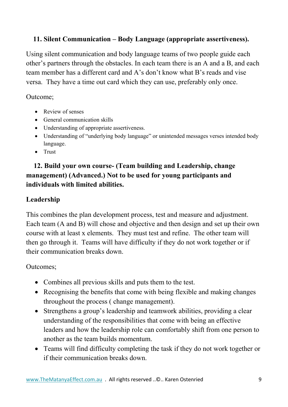#### **11. Silent Communication – Body Language (appropriate assertiveness).**

Using silent communication and body language teams of two people guide each other's partners through the obstacles. In each team there is an A and a B, and each team member has a different card and A's don't know what B's reads and vise versa. They have a time out card which they can use, preferably only once.

#### Outcome;

- Review of senses
- General communication skills
- Understanding of appropriate assertiveness.
- Understanding of "underlying body language" or unintended messages verses intended body language.
- Trust

#### **12. Build your own course- (Team building and Leadership, change management) (Advanced.) Not to be used for young participants and individuals with limited abilities.**

#### **Leadership**

This combines the plan development process, test and measure and adjustment. Each team (A and B) will chose and objective and then design and set up their own course with at least x elements. They must test and refine. The other team will then go through it. Teams will have difficulty if they do not work together or if their communication breaks down.

#### Outcomes;

- Combines all previous skills and puts them to the test.
- Recognising the benefits that come with being flexible and making changes throughout the process ( change management).
- Strengthens a group's leadership and teamwork abilities, providing a clear understanding of the responsibilities that come with being an effective leaders and how the leadership role can comfortably shift from one person to another as the team builds momentum.
- Teams will find difficulty completing the task if they do not work together or if their communication breaks down.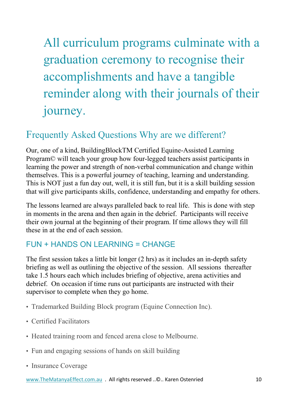All curriculum programs culminate with a graduation ceremony to recognise their accomplishments and have a tangible reminder along with their journals of their journey.

# Frequently Asked Questions Why are we different?

Our, one of a kind, BuildingBlockTM Certified Equine-Assisted Learning Program© will teach your group how four-legged teachers assist participants in learning the power and strength of non-verbal communication and change within themselves. This is a powerful journey of teaching, learning and understanding. This is NOT just a fun day out, well, it is still fun, but it is a skill building session that will give participants skills, confidence, understanding and empathy for others.

The lessons learned are always paralleled back to real life. This is done with step in moments in the arena and then again in the debrief. Participants will receive their own journal at the beginning of their program. If time allows they will fill these in at the end of each session.

# $FUN + HANDS ON$  I FARNING = CHANGF

The first session takes a little bit longer (2 hrs) as it includes an in-depth safety briefing as well as outlining the objective of the session. All sessions thereafter take 1.5 hours each which includes briefing of objective, arena activities and debrief. On occasion if time runs out participants are instructed with their supervisor to complete when they go home.

- Trademarked Building Block program (Equine Connection Inc).
- Certified Facilitators
- Heated training room and fenced arena close to Melbourne.
- Fun and engaging sessions of hands on skill building
- Insurance Coverage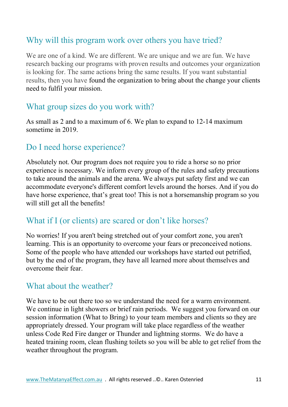# Why will this program work over others you have tried?

We are one of a kind. We are different. We are unique and we are fun. We have research backing our programs with proven results and outcomes your organization is looking for. The same actions bring the same results. If you want substantial results, then you have found the organization to bring about the change your clients need to fulfil your mission.

# What group sizes do you work with?

As small as 2 and to a maximum of 6. We plan to expand to 12-14 maximum sometime in 2019.

# Do I need horse experience?

Absolutely not. Our program does not require you to ride a horse so no prior experience is necessary. We inform every group of the rules and safety precautions to take around the animals and the arena. We always put safety first and we can accommodate everyone's different comfort levels around the horses. And if you do have horse experience, that's great too! This is not a horsemanship program so you will still get all the benefits!

# What if I (or clients) are scared or don't like horses?

No worries! If you aren't being stretched out of your comfort zone, you aren't learning. This is an opportunity to overcome your fears or preconceived notions. Some of the people who have attended our workshops have started out petrified, but by the end of the program, they have all learned more about themselves and overcome their fear.

#### What about the weather?

We have to be out there too so we understand the need for a warm environment. We continue in light showers or brief rain periods. We suggest you forward on our session information (What to Bring) to your team members and clients so they are appropriately dressed. Your program will take place regardless of the weather unless Code Red Fire danger or Thunder and lightning storms. We do have a heated training room, clean flushing toilets so you will be able to get relief from the weather throughout the program.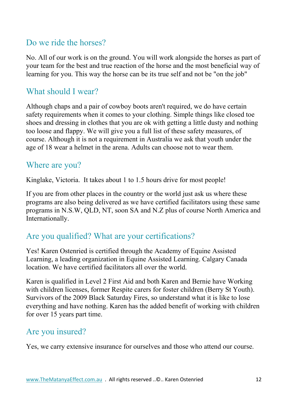# Do we ride the horses?

No. All of our work is on the ground. You will work alongside the horses as part of your team for the best and true reaction of the horse and the most beneficial way of learning for you. This way the horse can be its true self and not be "on the job"

#### What should I wear?

Although chaps and a pair of cowboy boots aren't required, we do have certain safety requirements when it comes to your clothing. Simple things like closed toe shoes and dressing in clothes that you are ok with getting a little dusty and nothing too loose and flappy. We will give you a full list of these safety measures, of course. Although it is not a requirement in Australia we ask that youth under the age of 18 wear a helmet in the arena. Adults can choose not to wear them.

#### Where are you?

Kinglake, Victoria. It takes about 1 to 1.5 hours drive for most people!

If you are from other places in the country or the world just ask us where these programs are also being delivered as we have certified facilitators using these same programs in N.S.W, QLD, NT, soon SA and N.Z plus of course North America and Internationally.

#### Are you qualified? What are your certifications?

Yes! Karen Ostenried is certified through the Academy of Equine Assisted Learning, a leading organization in Equine Assisted Learning. Calgary Canada location. We have certified facilitators all over the world.

Karen is qualified in Level 2 First Aid and both Karen and Bernie have Working with children licenses, former Respite carers for foster children (Berry St Youth). Survivors of the 2009 Black Saturday Fires, so understand what it is like to lose everything and have nothing. Karen has the added benefit of working with children for over 15 years part time.

# Are you insured?

Yes, we carry extensive insurance for ourselves and those who attend our course.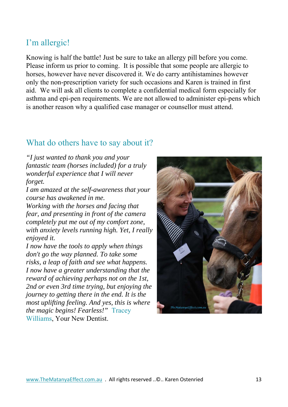# I'm allergic!

Knowing is half the battle! Just be sure to take an allergy pill before you come. Please inform us prior to coming. It is possible that some people are allergic to horses, however have never discovered it. We do carry antihistamines however only the non-prescription variety for such occasions and Karen is trained in first aid. We will ask all clients to complete a confidential medical form especially for asthma and epi-pen requirements. We are not allowed to administer epi-pens which is another reason why a qualified case manager or counsellor must attend.

#### What do others have to say about it?

*"I just wanted to thank you and your fantastic team (horses included) for a truly wonderful experience that I will never forget.* 

*I am amazed at the self-awareness that your course has awakened in me.* 

*Working with the horses and facing that fear, and presenting in front of the camera completely put me out of my comfort zone, with anxiety levels running high. Yet, I really enjoyed it.* 

*I now have the tools to apply when things don't go the way planned. To take some risks, a leap of faith and see what happens. I now have a greater understanding that the reward of achieving perhaps not on the 1st, 2nd or even 3rd time trying, but enjoying the journey to getting there in the end. It is the most uplifting feeling. And yes, this is where the magic begins! Fearless!"* Tracey Williams, Your New Dentist.

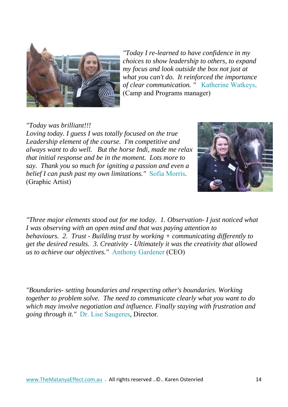

*"Today I re-learned to have confidence in my choices to show leadership to others, to expand my focus and look outside the box not just at what you can't do. It reinforced the importance of clear communication. "* Katherine Watkeys. (Camp and Programs manager)

*"Today was brilliant!!! Loving today. I guess I was totally focused on the true Leadership element of the course. I'm competitive and always want to do well. But the horse Indi, made me relax that initial response and be in the moment. Lots more to say. Thank you so much for igniting a passion and even a belief I can push past my own limitations."* Sofia Morris. (Graphic Artist)



*"Three major elements stood out for me today. 1. Observation- I just noticed what I was observing with an open mind and that was paying attention to behaviours. 2. Trust - Building trust by working + communicating differently to get the desired results. 3. Creativity - Ultimately it was the creativity that allowed us to achieve our objectives."* Anthony Gardener (CEO)

*"Boundaries- setting boundaries and respecting other's boundaries. Working together to problem solve. The need to communicate clearly what you want to do which may involve negotiation and influence. Finally staying with frustration and going through it."* Dr. Lise Saugeres, Director.